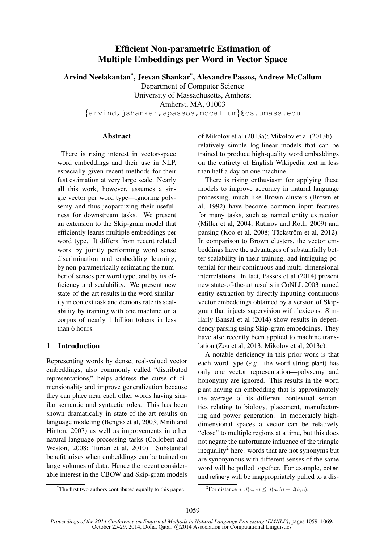# Efficient Non-parametric Estimation of Multiple Embeddings per Word in Vector Space

Arvind Neelakantan\* , Jeevan Shankar\* , Alexandre Passos, Andrew McCallum

Department of Computer Science

University of Massachusetts, Amherst

Amherst, MA, 01003

{arvind,jshankar,apassos,mccallum}@cs.umass.edu

### Abstract

There is rising interest in vector-space word embeddings and their use in NLP, especially given recent methods for their fast estimation at very large scale. Nearly all this work, however, assumes a single vector per word type—ignoring polysemy and thus jeopardizing their usefulness for downstream tasks. We present an extension to the Skip-gram model that efficiently learns multiple embeddings per word type. It differs from recent related work by jointly performing word sense discrimination and embedding learning, by non-parametrically estimating the number of senses per word type, and by its efficiency and scalability. We present new state-of-the-art results in the word similarity in context task and demonstrate its scalability by training with one machine on a corpus of nearly 1 billion tokens in less than 6 hours.

# 1 Introduction

Representing words by dense, real-valued vector embeddings, also commonly called "distributed representations," helps address the curse of dimensionality and improve generalization because they can place near each other words having similar semantic and syntactic roles. This has been shown dramatically in state-of-the-art results on language modeling (Bengio et al, 2003; Mnih and Hinton, 2007) as well as improvements in other natural language processing tasks (Collobert and Weston, 2008; Turian et al, 2010). Substantial benefit arises when embeddings can be trained on large volumes of data. Hence the recent considerable interest in the CBOW and Skip-gram models of Mikolov et al (2013a); Mikolov et al (2013b) relatively simple log-linear models that can be trained to produce high-quality word embeddings on the entirety of English Wikipedia text in less than half a day on one machine.

There is rising enthusiasm for applying these models to improve accuracy in natural language processing, much like Brown clusters (Brown et al, 1992) have become common input features for many tasks, such as named entity extraction (Miller et al, 2004; Ratinov and Roth, 2009) and parsing (Koo et al, 2008; Täckström et al, 2012). In comparison to Brown clusters, the vector embeddings have the advantages of substantially better scalability in their training, and intriguing potential for their continuous and multi-dimensional interrelations. In fact, Passos et al (2014) present new state-of-the-art results in CoNLL 2003 named entity extraction by directly inputting continuous vector embeddings obtained by a version of Skipgram that injects supervision with lexicons. Similarly Bansal et al (2014) show results in dependency parsing using Skip-gram embeddings. They have also recently been applied to machine translation (Zou et al, 2013; Mikolov et al, 2013c).

A notable deficiency in this prior work is that each word type (*e.g.* the word string plant) has only one vector representation—polysemy and hononymy are ignored. This results in the word plant having an embedding that is approximately the average of its different contextual semantics relating to biology, placement, manufacturing and power generation. In moderately highdimensional spaces a vector can be relatively "close" to multiple regions at a time, but this does not negate the unfortunate influence of the triangle inequality<sup>2</sup> here: words that are not synonyms but are synonymous with different senses of the same word will be pulled together. For example, pollen and refinery will be inappropriately pulled to a dis-

<sup>\*</sup>The first two authors contributed equally to this paper.

<sup>&</sup>lt;sup>2</sup>For distance  $d, d(a, c) \leq d(a, b) + d(b, c)$ .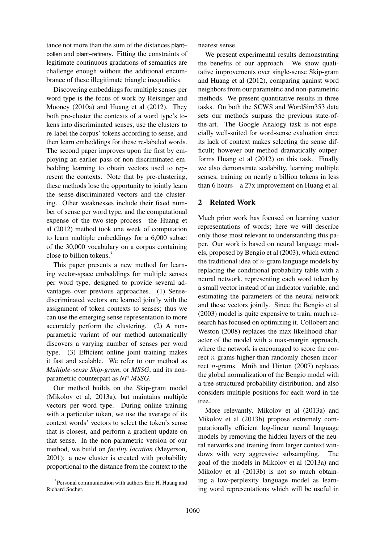tance not more than the sum of the distances plant– pollen and plant–refinery. Fitting the constraints of legitimate continuous gradations of semantics are challenge enough without the additional encumbrance of these illegitimate triangle inequalities.

Discovering embeddings for multiple senses per word type is the focus of work by Reisinger and Mooney (2010a) and Huang et al (2012). They both pre-cluster the contexts of a word type's tokens into discriminated senses, use the clusters to re-label the corpus' tokens according to sense, and then learn embeddings for these re-labeled words. The second paper improves upon the first by employing an earlier pass of non-discriminated embedding learning to obtain vectors used to represent the contexts. Note that by pre-clustering, these methods lose the opportunity to jointly learn the sense-discriminated vectors and the clustering. Other weaknesses include their fixed number of sense per word type, and the computational expense of the two-step process—the Huang et al (2012) method took one week of computation to learn multiple embeddings for a 6,000 subset of the 30,000 vocabulary on a corpus containing close to billion tokens.<sup>3</sup>

This paper presents a new method for learning vector-space embeddings for multiple senses per word type, designed to provide several advantages over previous approaches. (1) Sensediscriminated vectors are learned jointly with the assignment of token contexts to senses; thus we can use the emerging sense representation to more accurately perform the clustering. (2) A nonparametric variant of our method automatically discovers a varying number of senses per word type. (3) Efficient online joint training makes it fast and scalable. We refer to our method as *Multiple-sense Skip-gram*, or *MSSG*, and its nonparametric counterpart as *NP-MSSG*.

Our method builds on the Skip-gram model (Mikolov et al, 2013a), but maintains multiple vectors per word type. During online training with a particular token, we use the average of its context words' vectors to select the token's sense that is closest, and perform a gradient update on that sense. In the non-parametric version of our method, we build on *facility location* (Meyerson, 2001): a new cluster is created with probability proportional to the distance from the context to the nearest sense.

We present experimental results demonstrating the benefits of our approach. We show qualitative improvements over single-sense Skip-gram and Huang et al (2012), comparing against word neighbors from our parametric and non-parametric methods. We present quantitative results in three tasks. On both the SCWS and WordSim353 data sets our methods surpass the previous state-ofthe-art. The Google Analogy task is not especially well-suited for word-sense evaluation since its lack of context makes selecting the sense difficult; however our method dramatically outperforms Huang et al (2012) on this task. Finally we also demonstrate scalabilty, learning multiple senses, training on nearly a billion tokens in less than 6 hours—a 27x improvement on Huang et al.

### 2 Related Work

Much prior work has focused on learning vector representations of words; here we will describe only those most relevant to understanding this paper. Our work is based on neural language models, proposed by Bengio et al (2003), which extend the traditional idea of  $n$ -gram language models by replacing the conditional probability table with a neural network, representing each word token by a small vector instead of an indicator variable, and estimating the parameters of the neural network and these vectors jointly. Since the Bengio et al (2003) model is quite expensive to train, much research has focused on optimizing it. Collobert and Weston (2008) replaces the max-likelihood character of the model with a max-margin approach, where the network is encouraged to score the correct *n*-grams higher than randomly chosen incorrect n-grams. Mnih and Hinton (2007) replaces the global normalization of the Bengio model with a tree-structured probability distribution, and also considers multiple positions for each word in the tree.

More relevantly, Mikolov et al (2013a) and Mikolov et al (2013b) propose extremely computationally efficient log-linear neural language models by removing the hidden layers of the neural networks and training from larger context windows with very aggressive subsampling. The goal of the models in Mikolov et al (2013a) and Mikolov et al (2013b) is not so much obtaining a low-perplexity language model as learning word representations which will be useful in

<sup>&</sup>lt;sup>3</sup> Personal communication with authors Eric H. Huang and Richard Socher.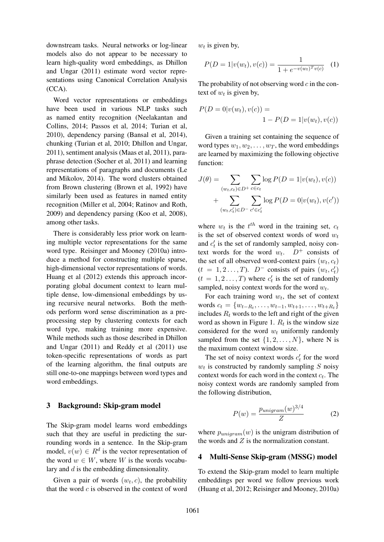downstream tasks. Neural networks or log-linear models also do not appear to be necessary to learn high-quality word embeddings, as Dhillon and Ungar (2011) estimate word vector representations using Canonical Correlation Analysis (CCA).

Word vector representations or embeddings have been used in various NLP tasks such as named entity recognition (Neelakantan and Collins, 2014; Passos et al, 2014; Turian et al, 2010), dependency parsing (Bansal et al, 2014), chunking (Turian et al, 2010; Dhillon and Ungar, 2011), sentiment analysis (Maas et al, 2011), paraphrase detection (Socher et al, 2011) and learning representations of paragraphs and documents (Le and Mikolov, 2014). The word clusters obtained from Brown clustering (Brown et al, 1992) have similarly been used as features in named entity recognition (Miller et al, 2004; Ratinov and Roth, 2009) and dependency parsing (Koo et al, 2008), among other tasks.

There is considerably less prior work on learning multiple vector representations for the same word type. Reisinger and Mooney (2010a) introduce a method for constructing multiple sparse, high-dimensional vector representations of words. Huang et al (2012) extends this approach incorporating global document context to learn multiple dense, low-dimensional embeddings by using recursive neural networks. Both the methods perform word sense discrimination as a preprocessing step by clustering contexts for each word type, making training more expensive. While methods such as those described in Dhillon and Ungar (2011) and Reddy et al (2011) use token-specific representations of words as part of the learning algorithm, the final outputs are still one-to-one mappings between word types and word embeddings.

#### 3 Background: Skip-gram model

The Skip-gram model learns word embeddings such that they are useful in predicting the surrounding words in a sentence. In the Skip-gram model,  $v(w) \in R^d$  is the vector representation of the word  $w \in W$ , where W is the words vocabulary and d is the embedding dimensionality.

Given a pair of words  $(w_t, c)$ , the probability that the word  $c$  is observed in the context of word  $w_t$  is given by,

$$
P(D = 1|v(w_t), v(c)) = \frac{1}{1 + e^{-v(w_t)^T v(c)}} \quad (1)
$$

The probability of not observing word  $c$  in the context of  $w_t$  is given by,

$$
P(D = 0|v(w_t), v(c)) =
$$
  

$$
1 - P(D = 1|v(w_t), v(c))
$$

Given a training set containing the sequence of word types  $w_1, w_2, \ldots, w_T$ , the word embeddings are learned by maximizing the following objective function:

$$
J(\theta) = \sum_{(w_t, c_t) \in D^+} \sum_{c \in c_t} \log P(D = 1 | v(w_t), v(c))
$$

$$
+ \sum_{(w_t, c_t') \in D^-} \sum_{c' \in c_t'} \log P(D = 0 | v(w_t), v(c'))
$$

where  $w_t$  is the  $t^{th}$  word in the training set,  $c_t$ is the set of observed context words of word  $w_t$ and  $c_t$  is the set of randomly sampled, noisy context words for the word  $w_t$ .  $D^+$  consists of the set of all observed word-context pairs  $(w_t, c_t)$  $(t = 1, 2, \ldots, T)$ .  $D^-$  consists of pairs  $(w_t, c'_t)$  $(t = 1, 2, \dots, T)$  where  $c'_t$  is the set of randomly sampled, noisy context words for the word  $w_t$ .

For each training word  $w_t$ , the set of context words  $c_t = \{w_{t-R_t}, \ldots, w_{t-1}, w_{t+1}, \ldots, w_{t+R_t}\}\$ includes  $R_t$  words to the left and right of the given word as shown in Figure 1.  $R_t$  is the window size considered for the word  $w_t$  uniformly randomly sampled from the set  $\{1, 2, \ldots, N\}$ , where N is the maximum context window size.

The set of noisy context words  $c_t$  for the word  $w_t$  is constructed by randomly sampling S noisy context words for each word in the context  $c_t$ . The noisy context words are randomly sampled from the following distribution,

$$
P(w) = \frac{p_{unigram}(w)^{3/4}}{Z} \tag{2}
$$

where  $p_{unigram}(w)$  is the unigram distribution of the words and  $Z$  is the normalization constant.

#### 4 Multi-Sense Skip-gram (MSSG) model

To extend the Skip-gram model to learn multiple embeddings per word we follow previous work (Huang et al, 2012; Reisinger and Mooney, 2010a)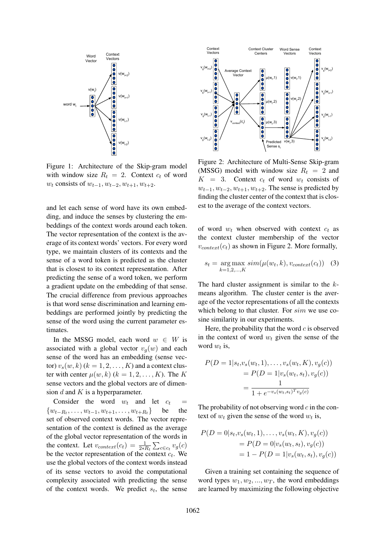

Figure 1: Architecture of the Skip-gram model with window size  $R_t = 2$ . Context  $c_t$  of word  $w_t$  consists of  $w_{t-1}, w_{t-2}, w_{t+1}, w_{t+2}$ .

and let each sense of word have its own embedding, and induce the senses by clustering the embeddings of the context words around each token. The vector representation of the context is the average of its context words' vectors. For every word type, we maintain clusters of its contexts and the sense of a word token is predicted as the cluster that is closest to its context representation. After predicting the sense of a word token, we perform a gradient update on the embedding of that sense. The crucial difference from previous approaches is that word sense discrimination and learning embeddings are performed jointly by predicting the sense of the word using the current parameter estimates.

In the MSSG model, each word  $w \in W$  is associated with a global vector  $v_q(w)$  and each sense of the word has an embedding (sense vector)  $v_s(w, k)$   $(k = 1, 2, \ldots, K)$  and a context cluster with center  $\mu(w, k)$   $(k = 1, 2, \dots, K)$ . The K sense vectors and the global vectors are of dimension  $d$  and  $K$  is a hyperparameter.

Consider the word  $w_t$  and let  $c_t$  =  $\{w_{t-R_t}, \ldots, w_{t-1}, w_{t+1}, \ldots, w_{t+R_t}\}$  be the set of observed context words. The vector representation of the context is defined as the average of the global vector representation of the words in the context. Let  $v_{context}(c_t) = \frac{1}{2 * R_t} \sum_{c \in c_t} v_g(c)$ be the vector representation of the context  $c_t$ . We use the global vectors of the context words instead of its sense vectors to avoid the computational complexity associated with predicting the sense of the context words. We predict  $s_t$ , the sense



Figure 2: Architecture of Multi-Sense Skip-gram (MSSG) model with window size  $R_t = 2$  and  $K = 3$ . Context  $c_t$  of word  $w_t$  consists of  $w_{t-1}, w_{t-2}, w_{t+1}, w_{t+2}$ . The sense is predicted by finding the cluster center of the context that is closest to the average of the context vectors.

of word  $w_t$  when observed with context  $c_t$  as the context cluster membership of the vector  $v_{context}(c_t)$  as shown in Figure 2. More formally,

$$
s_t = \underset{k=1,2,\dots,K}{\arg\max} sim(\mu(w_t, k), v_{context}(c_t)) \quad (3)
$$

The hard cluster assignment is similar to the  $k$ means algorithm. The cluster center is the average of the vector representations of all the contexts which belong to that cluster. For  $sim$  we use cosine similarity in our experiments.

Here, the probability that the word  $c$  is observed in the context of word  $w_t$  given the sense of the word  $w_t$  is,

$$
P(D = 1|s_t, v_s(w_t, 1), \dots, v_s(w_t, K), v_g(c))
$$
  
= 
$$
P(D = 1|v_s(w_t, s_t), v_g(c))
$$
  
= 
$$
\frac{1}{1 + e^{-v_s(w_t, s_t)^T v_g(c)}}
$$

The probability of not observing word  $c$  in the context of  $w_t$  given the sense of the word  $w_t$  is,

$$
P(D = 0|s_t, v_s(w_t, 1), \dots, v_s(w_t, K), v_g(c))
$$
  
=  $P(D = 0|v_s(w_t, s_t), v_g(c))$   
=  $1 - P(D = 1|v_s(w_t, s_t), v_g(c))$ 

Given a training set containing the sequence of word types  $w_1, w_2, ..., w_T$ , the word embeddings are learned by maximizing the following objective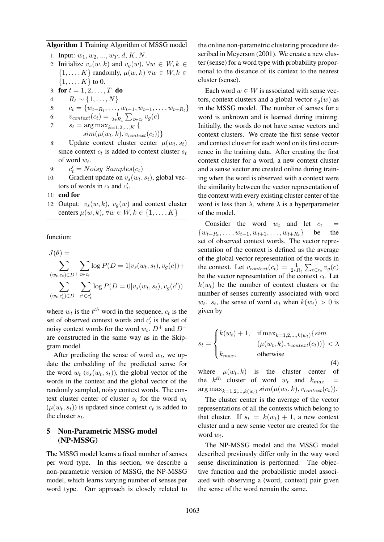#### Algorithm 1 Training Algorithm of MSSG model

- 1: Input:  $w_1, w_2, ..., w_T, d, K, N$ .
- 2: Initialize  $v_s(w, k)$  and  $v_q(w)$ ,  $\forall w \in W, k \in$  $\{1, \ldots, K\}$  randomly,  $\mu(w, k)$   $\forall w \in W, k \in$  $\{1, \ldots, K\}$  to 0.
- 3: for  $t = 1, 2, ..., T$  do
- 4:  $R_t \sim \{1, \ldots, N\}$
- 5:  $c_t = \{w_{t-R_t}, \ldots, w_{t-1}, w_{t+1}, \ldots, w_{t+R_t}\}\$

6: 
$$
v_{context}(c_t) = \frac{1}{2 * R_t} \sum_{c \in c_t} v_g(c)
$$

7: 
$$
s_t = \arg \max_{k=1,2,...,K} \{ \sin(\mu(w_t, k), v_{context}(c_t)) \}
$$

8: Update context cluster center  $\mu(w_t, s_t)$ since context  $c_t$  is added to context cluster  $s_t$ of word  $w_t$ .

9: 
$$
c'_t = Noisy\_Samples(c_t)
$$

- 10: Gradient update on  $v_s(w_t, s_t)$ , global vectors of words in  $c_t$  and  $c'_t$ .
- 11: end for
- 12: Output:  $v_s(w, k)$ ,  $v_q(w)$  and context cluster centers  $\mu(w, k), \forall w \in W, k \in \{1, \ldots, K\}$

function:

$$
J(\theta) = \sum_{(w_t, c_t) \in D^+} \sum_{c \in c_t} \log P(D = 1 | v_s(w_t, s_t), v_g(c)) + \sum_{(w_t, c_t') \in D^-} \sum_{c' \in c_t'} \log P(D = 0 | v_s(w_t, s_t), v_g(c'))
$$

where  $w_t$  is the  $t^{th}$  word in the sequence,  $c_t$  is the set of observed context words and  $c'_t$  is the set of noisy context words for the word  $w_t$ .  $D^+$  and  $D^$ are constructed in the same way as in the Skipgram model.

After predicting the sense of word  $w_t$ , we update the embedding of the predicted sense for the word  $w_t$  ( $v_s(w_t, s_t)$ ), the global vector of the words in the context and the global vector of the randomly sampled, noisy context words. The context cluster center of cluster  $s_t$  for the word  $w_t$  $(\mu(w_t, s_t))$  is updated since context  $c_t$  is added to the cluster  $s_t$ .

### 5 Non-Parametric MSSG model (NP-MSSG)

The MSSG model learns a fixed number of senses per word type. In this section, we describe a non-parametric version of MSSG, the NP-MSSG model, which learns varying number of senses per word type. Our approach is closely related to

the online non-parametric clustering procedure described in Meyerson (2001). We create a new cluster (sense) for a word type with probability proportional to the distance of its context to the nearest cluster (sense).

Each word  $w \in W$  is associated with sense vectors, context clusters and a global vector  $v_q(w)$  as in the MSSG model. The number of senses for a word is unknown and is learned during training. Initially, the words do not have sense vectors and context clusters. We create the first sense vector and context cluster for each word on its first occurrence in the training data. After creating the first context cluster for a word, a new context cluster and a sense vector are created online during training when the word is observed with a context were the similarity between the vector representation of the context with every existing cluster center of the word is less than  $\lambda$ , where  $\lambda$  is a hyperparameter of the model.

Consider the word  $w_t$  and let  $c_t$  =  $\{w_{t-R_t}, \ldots, w_{t-1}, w_{t+1}, \ldots, w_{t+R_t}\}$  be the set of observed context words. The vector representation of the context is defined as the average of the global vector representation of the words in the context. Let  $v_{context}(c_t) = \frac{1}{2 * R_t} \sum_{c \in c_t} v_g(c)$ be the vector representation of the context  $c_t$ . Let  $k(w_t)$  be the number of context clusters or the number of senses currently associated with word  $w_t$ .  $s_t$ , the sense of word  $w_t$  when  $k(w_t) > 0$  is given by

$$
s_{t} = \begin{cases} k(w_{t}) + 1, & \text{if } \max_{k=1,2,\dots,k(w_{t})} \{sim \} \ (w_{t},k), v_{context}(c_{t})) \} < \lambda \\ k_{max}, & \text{otherwise} \end{cases}
$$
\n
$$
(4)
$$

where  $\mu(w_t, k)$  is the cluster center of the  $k^{th}$  cluster of word  $w_t$  and  $k_{max}$  =  $\arg \max_{k=1,2,...,k(w_t)} sim(\mu(w_t, k), v_{context}(c_t)).$ 

The cluster center is the average of the vector representations of all the contexts which belong to that cluster. If  $s_t = k(w_t) + 1$ , a new context cluster and a new sense vector are created for the word  $w_t$ .

The NP-MSSG model and the MSSG model described previously differ only in the way word sense discrimination is performed. The objective function and the probabilistic model associated with observing a (word, context) pair given the sense of the word remain the same.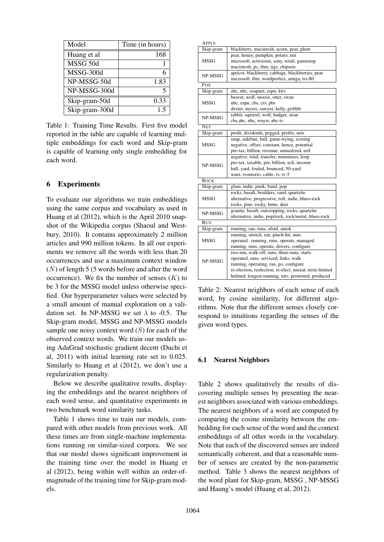| Model          | Time (in hours) |
|----------------|-----------------|
| Huang et al    | 168             |
| MSSG 50d       |                 |
| MSSG-300d      | 6               |
| NP-MSSG-50d    | 1.83            |
| NP-MSSG-300d   | 5               |
| Skip-gram-50d  | 0.33            |
| Skip-gram-300d | 15              |

Table 1: Training Time Results. First five model reported in the table are capable of learning multiple embeddings for each word and Skip-gram is capable of learning only single embedding for each word.

## 6 Experiments

To evaluate our algorithms we train embeddings using the same corpus and vocabulary as used in Huang et al (2012), which is the April 2010 snapshot of the Wikipedia corpus (Shaoul and Westbury, 2010). It contains approximately 2 million articles and 990 million tokens. In all our experiments we remove all the words with less than 20 occurrences and use a maximum context window  $(N)$  of length 5 (5 words before and after the word occurrence). We fix the number of senses  $(K)$  to be 3 for the MSSG model unless otherwise specified. Our hyperparameter values were selected by a small amount of manual exploration on a validation set. In NP-MSSG we set  $\lambda$  to -0.5. The Skip-gram model, MSSG and NP-MSSG models sample one noisy context word  $(S)$  for each of the observed context words. We train our models using AdaGrad stochastic gradient decent (Duchi et al, 2011) with initial learning rate set to 0.025. Similarly to Huang et al (2012), we don't use a regularization penalty.

Below we describe qualitative results, displaying the embeddings and the nearest neighbors of each word sense, and quantitative experiments in two benchmark word similarity tasks.

Table 1 shows time to train our models, compared with other models from previous work. All these times are from single-machine implementations running on similar-sized corpora. We see that our model shows significant improvement in the training time over the model in Huang et al (2012), being within well within an order-ofmagnitude of the training time for Skip-gram models.

| APPLE       |                                                         |  |
|-------------|---------------------------------------------------------|--|
| Skip-gram   | blackberry, macintosh, acorn, pear, plum                |  |
|             | pear, honey, pumpkin, potato, nut                       |  |
| <b>MSSG</b> | microsoft, activision, sony, retail, gamestop           |  |
|             | macintosh, pc, ibm, iigs, chipsets                      |  |
| NP-MSSG     | apricot, blackberry, cabbage, blackberries, pear        |  |
|             | microsoft, ibm, wordperfect, amiga, trs-80              |  |
| $F_{OX}$    |                                                         |  |
| Skip-gram   | abc, nbc, soapnet, espn, kttv                           |  |
|             | beaver, wolf, moose, otter, swan                        |  |
| MSSG        | nbc, espn, cbs, ctv, pbs                                |  |
|             | dexter, myers, sawyer, kelly, griffith                  |  |
| NP-MSSG     | rabbit, squirrel, wolf, badger, stoat                   |  |
|             | cbs, abc, nbc, wnyw, abc-tv                             |  |
| <b>NET</b>  |                                                         |  |
| Skip-gram   | profit, dividends, pegged, profits, nets                |  |
|             | snap, sideline, ball, game-trying, scoring              |  |
| <b>MSSG</b> | negative, offset, constant, hence, potential            |  |
|             | pre-tax, billion, revenue, annualized, us\$             |  |
|             | negative, total, transfer, minimizes, loop              |  |
| NP-MSSG     | pre-tax, taxable, per, billion, us\$, income            |  |
|             | ball, yard, fouled, bounced, 50-yard                    |  |
|             | wnet, tvontorio, cable, tv, tv-5                        |  |
| <b>ROCK</b> |                                                         |  |
| Skip-gram   | glam, indie, punk, band, pop                            |  |
|             | rocks, basalt, boulders, sand, quartzite                |  |
| <b>MSSG</b> | alternative, progressive, roll, indie, blues-rock       |  |
|             | rocks, pine, rocky, butte, deer                         |  |
| NP-MSSG     | granite, basalt, outcropping, rocks, quartzite          |  |
|             | alternative, indie, pop/rock, rock/metal, blues-rock    |  |
| <b>RUN</b>  |                                                         |  |
| Skip-gram   | running, ran, runs, afoul, amok                         |  |
|             | running, stretch, ran, pinch-hit, runs                  |  |
| MSSG        | operated, running, runs, operate, managed               |  |
|             | running, runs, operate, drivers, configure              |  |
| NP-MSSG     | two-run, walk-off, runs, three-runs, starts             |  |
|             | operated, runs, serviced, links, walk                   |  |
|             | running, operating, ran, go, configure                  |  |
|             | re-election, reelection, re-elect, unseat, term-limited |  |
|             | helmed, longest-running, mtv, promoted, produced        |  |

Table 2: Nearest neighbors of each sense of each word, by cosine similarity, for different algorithms. Note that the different senses closely correspond to intuitions regarding the senses of the given word types.

### 6.1 Nearest Neighbors

Table 2 shows qualitatively the results of discovering multiple senses by presenting the nearest neighbors associated with various embeddings. The nearest neighbors of a word are computed by comparing the cosine similarity between the embedding for each sense of the word and the context embeddings of all other words in the vocabulary. Note that each of the discovered senses are indeed semantically coherent, and that a reasonable number of senses are created by the non-parametric method. Table 3 shows the nearest neighbors of the word plant for Skip-gram, MSSG , NP-MSSG and Haung's model (Huang et al, 2012).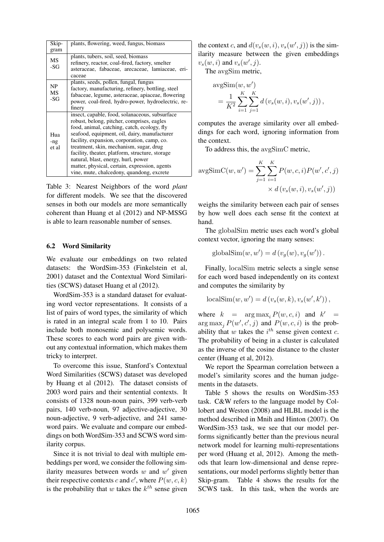| Skip-        | plants, flowering, weed, fungus, biomass           |
|--------------|----------------------------------------------------|
| gram         |                                                    |
| MS           | plants, tubers, soil, seed, biomass                |
|              | refinery, reactor, coal-fired, factory, smelter    |
| $-SG$        | asteraceae, fabaceae, arecaceae, lamiaceae, eri-   |
|              | caceae                                             |
|              | plants, seeds, pollen, fungal, fungus              |
| NP           | factory, manufacturing, refinery, bottling, steel  |
| MS<br>$-SG$  | fabaceae, legume, asteraceae, apiaceae, flowering  |
|              | power, coal-fired, hydro-power, hydroelectric, re- |
|              | finery                                             |
|              | insect, capable, food, solanaceous, subsurface     |
|              | robust, belong, pitcher, comprises, eagles         |
|              | food, animal, catching, catch, ecology, fly        |
| Hua          | seafood, equipment, oil, dairy, manufacturer       |
| -ng<br>et al | facility, expansion, corporation, camp, co.        |
|              | treatment, skin, mechanism, sugar, drug            |
|              | facility, theater, platform, structure, storage    |
|              | natural, blast, energy, hurl, power                |
|              | matter, physical, certain, expression, agents      |
|              | vine, mute, chalcedony, quandong, excrete          |

Table 3: Nearest Neighbors of the word *plant* for different models. We see that the discovered senses in both our models are more semantically coherent than Huang et al (2012) and NP-MSSG is able to learn reasonable number of senses.

### 6.2 Word Similarity

We evaluate our embeddings on two related datasets: the WordSim-353 (Finkelstein et al, 2001) dataset and the Contextual Word Similarities (SCWS) dataset Huang et al (2012).

WordSim-353 is a standard dataset for evaluating word vector representations. It consists of a list of pairs of word types, the similarity of which is rated in an integral scale from 1 to 10. Pairs include both monosemic and polysemic words. These scores to each word pairs are given without any contextual information, which makes them tricky to interpret.

To overcome this issue, Stanford's Contextual Word Similarities (SCWS) dataset was developed by Huang et al (2012). The dataset consists of 2003 word pairs and their sentential contexts. It consists of 1328 noun-noun pairs, 399 verb-verb pairs, 140 verb-noun, 97 adjective-adjective, 30 noun-adjective, 9 verb-adjective, and 241 sameword pairs. We evaluate and compare our embeddings on both WordSim-353 and SCWS word similarity corpus.

Since it is not trivial to deal with multiple embeddings per word, we consider the following similarity measures between words  $w$  and  $w'$  given their respective contexts c and c', where  $P(w, c, k)$ is the probability that  $w$  takes the  $k^{th}$  sense given

the context c, and  $d(v_s(w, i), v_s(w', j))$  is the similarity measure between the given embeddings  $v_s(w, i)$  and  $v_s(w', j)$ .

The avgSim metric,

$$
\begin{split} & \text{avgSim}(w, w') \\ & = \frac{1}{K^2} \sum_{i=1}^{K} \sum_{j=1}^{K} d\left(v_s(w, i), v_s(w', j)\right), \end{split}
$$

computes the average similarity over all embeddings for each word, ignoring information from the context.

To address this, the avgSimC metric,

$$
avgSimC(w, w') = \sum_{j=1}^{K} \sum_{i=1}^{K} P(w, c, i) P(w', c', j)
$$
  
 
$$
\times d(v_s(w, i), v_s(w', j))
$$

weighs the similarity between each pair of senses by how well does each sense fit the context at hand.

The globalSim metric uses each word's global context vector, ignoring the many senses:

$$
globalSim(w, w') = d(v_g(w), v_g(w')).
$$

Finally, localSim metric selects a single sense for each word based independently on its context and computes the similarity by

$$
localSim(w, w') = d(vs(w, k), vs(w', k'))
$$

where  $k = \arg \max_i P(w, c, i)$  and  $k' =$  $\arg \max_j P(w', c', j)$  and  $P(w, c, i)$  is the probability that  $w$  takes the  $i^{th}$  sense given context  $c$ . The probability of being in a cluster is calculated as the inverse of the cosine distance to the cluster center (Huang et al, 2012).

We report the Spearman correlation between a model's similarity scores and the human judgements in the datasets.

Table 5 shows the results on WordSim-353 task. C&W refers to the language model by Collobert and Weston (2008) and HLBL model is the method described in Mnih and Hinton (2007). On WordSim-353 task, we see that our model performs significantly better than the previous neural network model for learning multi-representations per word (Huang et al, 2012). Among the methods that learn low-dimensional and dense representations, our model performs slightly better than Skip-gram. Table 4 shows the results for the SCWS task. In this task, when the words are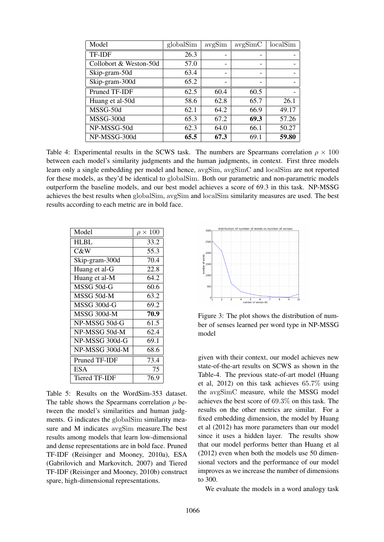| Model                  | globalSim | avgSim | avgSimC                  | localSim |
|------------------------|-----------|--------|--------------------------|----------|
| TF-IDF                 | 26.3      |        |                          |          |
| Collobort & Weston-50d | 57.0      |        |                          |          |
| Skip-gram-50d          | 63.4      |        | $\overline{\phantom{0}}$ |          |
| Skip-gram-300d         | 65.2      |        |                          |          |
| Pruned TF-IDF          | 62.5      | 60.4   | 60.5                     |          |
| Huang et al-50d        | 58.6      | 62.8   | 65.7                     | 26.1     |
| MSSG-50d               | 62.1      | 64.2   | 66.9                     | 49.17    |
| MSSG-300d              | 65.3      | 67.2   | 69.3                     | 57.26    |
| NP-MSSG-50d            | 62.3      | 64.0   | 66.1                     | 50.27    |
| NP-MSSG-300d           | 65.5      | 67.3   | 69.1                     | 59.80    |

Table 4: Experimental results in the SCWS task. The numbers are Spearmans correlation  $\rho \times 100$ between each model's similarity judgments and the human judgments, in context. First three models learn only a single embedding per model and hence, avgSim, avgSimC and localSim are not reported for these models, as they'd be identical to globalSim. Both our parametric and non-parametric models outperform the baseline models, and our best model achieves a score of 69.3 in this task. NP-MSSG achieves the best results when globalSim, avgSim and localSim similarity measures are used. The best results according to each metric are in bold face.

| Model          | $\rho \times 100$ |
|----------------|-------------------|
| <b>HLBL</b>    | 33.2              |
| C&W            | 55.3              |
| Skip-gram-300d | 70.4              |
| Huang et al-G  | 22.8              |
| Huang et al-M  | 64.2              |
| MSSG 50d-G     | 60.6              |
| MSSG 50d-M     | 63.2              |
| MSSG 300d-G    | 69.2              |
| MSSG 300d-M    | 70.9              |
| NP-MSSG 50d-G  | 61.5              |
| NP-MSSG 50d-M  | 62.4              |
| NP-MSSG 300d-G | 69.1              |
| NP-MSSG 300d-M | 68.6              |
| Pruned TF-IDF  | 73.4              |
| <b>ESA</b>     | 75                |
| Tiered TF-IDF  | 76.9              |

Table 5: Results on the WordSim-353 dataset. The table shows the Spearmans correlation  $\rho$  between the model's similarities and human judgments. G indicates the globalSim similarity measure and M indicates avgSim measure.The best results among models that learn low-dimensional and dense representations are in bold face. Pruned TF-IDF (Reisinger and Mooney, 2010a), ESA (Gabrilovich and Markovitch, 2007) and Tiered TF-IDF (Reisinger and Mooney, 2010b) construct spare, high-dimensional representations.



Figure 3: The plot shows the distribution of number of senses learned per word type in NP-MSSG model

given with their context, our model achieves new state-of-the-art results on SCWS as shown in the Table-4. The previous state-of-art model (Huang et al, 2012) on this task achieves 65.7% using the avgSimC measure, while the MSSG model achieves the best score of 69.3% on this task. The results on the other metrics are similar. For a fixed embedding dimension, the model by Huang et al (2012) has more parameters than our model since it uses a hidden layer. The results show that our model performs better than Huang et al (2012) even when both the models use 50 dimensional vectors and the performance of our model improves as we increase the number of dimensions to 300.

We evaluate the models in a word analogy task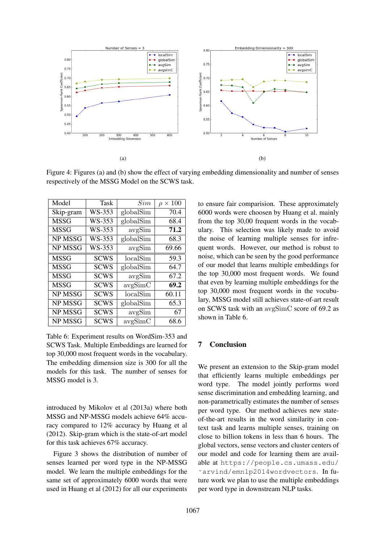

Figure 4: Figures (a) and (b) show the effect of varying embedding dimensionality and number of senses respectively of the MSSG Model on the SCWS task.

| Model       | Task        | Sim       | $\times$ 100<br>$\rho$ |
|-------------|-------------|-----------|------------------------|
| Skip-gram   | WS-353      | globalSim | 70.4                   |
| <b>MSSG</b> | WS-353      | globalSim | 68.4                   |
| <b>MSSG</b> | WS-353      | avgSim    | 71.2                   |
| NP MSSG     | WS-353      | globalSim | 68.3                   |
| NP MSSG     | WS-353      | avgSim    | 69.66                  |
| <b>MSSG</b> | <b>SCWS</b> | localSim  | 59.3                   |
| <b>MSSG</b> | <b>SCWS</b> | globalSim | 64.7                   |
| <b>MSSG</b> | <b>SCWS</b> | avgSim    | 67.2                   |
| MSSG        | SCWS        | avgSimC   | 69.2                   |
| NP MSSG     | <b>SCWS</b> | localSim  | 60.11                  |
| NP MSSG     | <b>SCWS</b> | globalSim | 65.3                   |
| NP MSSG     | <b>SCWS</b> | avgSim    | 67                     |
| NP MSSG     | <b>SCWS</b> | avgSimC   | 68.6                   |

Table 6: Experiment results on WordSim-353 and SCWS Task. Multiple Embeddings are learned for top 30,000 most frequent words in the vocabulary. The embedding dimension size is 300 for all the models for this task. The number of senses for MSSG model is 3.

introduced by Mikolov et al (2013a) where both MSSG and NP-MSSG models achieve 64% accuracy compared to 12% accuracy by Huang et al (2012). Skip-gram which is the state-of-art model for this task achieves 67% accuracy.

Figure 3 shows the distribution of number of senses learned per word type in the NP-MSSG model. We learn the multiple embeddings for the same set of approximately 6000 words that were used in Huang et al (2012) for all our experiments to ensure fair comparision. These approximately 6000 words were choosen by Huang et al. mainly from the top 30,00 frequent words in the vocabulary. This selection was likely made to avoid the noise of learning multiple senses for infrequent words. However, our method is robust to noise, which can be seen by the good performance of our model that learns multiple embeddings for the top 30,000 most frequent words. We found that even by learning multiple embeddings for the top 30,000 most frequent words in the vocubulary, MSSG model still achieves state-of-art result on SCWS task with an avgSimC score of 69.2 as shown in Table 6.

# 7 Conclusion

We present an extension to the Skip-gram model that efficiently learns multiple embeddings per word type. The model jointly performs word sense discrimination and embedding learning, and non-parametrically estimates the number of senses per word type. Our method achieves new stateof-the-art results in the word similarity in context task and learns multiple senses, training on close to billion tokens in less than 6 hours. The global vectors, sense vectors and cluster centers of our model and code for learning them are available at https://people.cs.umass.edu/ ˜arvind/emnlp2014wordvectors. In future work we plan to use the multiple embeddings per word type in downstream NLP tasks.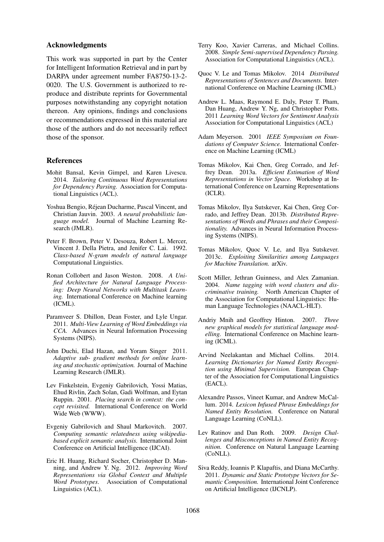### Acknowledgments

This work was supported in part by the Center for Intelligent Information Retrieval and in part by DARPA under agreement number FA8750-13-2- 0020. The U.S. Government is authorized to reproduce and distribute reprints for Governmental purposes notwithstanding any copyright notation thereon. Any opinions, findings and conclusions or recommendations expressed in this material are those of the authors and do not necessarily reflect those of the sponsor.

### References

- Mohit Bansal, Kevin Gimpel, and Karen Livescu. 2014. *Tailoring Continuous Word Representations for Dependency Parsing.* Association for Computational Linguistics (ACL).
- Yoshua Bengio, Rejean Ducharme, Pascal Vincent, and ´ Christian Jauvin. 2003. *A neural probabilistic language model.* Journal of Machine Learning Research (JMLR).
- Peter F. Brown, Peter V. Desouza, Robert L. Mercer, Vincent J. Della Pietra, and Jenifer C. Lai. 1992. *Class-based N-gram models of natural language* Computational Linguistics.
- Ronan Collobert and Jason Weston. 2008. *A Unified Architecture for Natural Language Processing: Deep Neural Networks with Multitask Learning.* International Conference on Machine learning (ICML).
- Paramveer S. Dhillon, Dean Foster, and Lyle Ungar. 2011. *Multi-View Learning of Word Embeddings via CCA.* Advances in Neural Information Processing Systems (NIPS).
- John Duchi, Elad Hazan, and Yoram Singer 2011. *Adaptive sub- gradient methods for online learning and stochastic optimization.* Journal of Machine Learning Research (JMLR).
- Lev Finkelstein, Evgeniy Gabrilovich, Yossi Matias, Ehud Rivlin, Zach Solan, Gadi Wolfman, and Eytan Ruppin. 2001. *Placing search in context: the concept revisited.* International Conference on World Wide Web (WWW).
- Evgeniy Gabrilovich and Shaul Markovitch. 2007. *Computing semantic relatedness using wikipediabased explicit semantic analysis.* International Joint Conference on Artificial Intelligence (IJCAI).
- Eric H. Huang, Richard Socher, Christopher D. Manning, and Andrew Y. Ng. 2012. *Improving Word Representations via Global Context and Multiple Word Prototypes*. Association of Computational Linguistics (ACL).
- Terry Koo, Xavier Carreras, and Michael Collins. 2008. *Simple Semi-supervised Dependency Parsing.* Association for Computational Linguistics (ACL).
- Quoc V. Le and Tomas Mikolov. 2014 *Distributed Representations of Sentences and Documents.* International Conference on Machine Learning (ICML)
- Andrew L. Maas, Raymond E. Daly, Peter T. Pham, Dan Huang, Andrew Y. Ng, and Christopher Potts. 2011 *Learning Word Vectors for Sentiment Analysis* Association for Computational Linguistics (ACL)
- Adam Meyerson. 2001 *IEEE Symposium on Foundations of Computer Science.* International Conference on Machine Learning (ICML)
- Tomas Mikolov, Kai Chen, Greg Corrado, and Jeffrey Dean. 2013a. *Efficient Estimation of Word Representations in Vector Space.* Workshop at International Conference on Learning Representations (ICLR).
- Tomas Mikolov, Ilya Sutskever, Kai Chen, Greg Corrado, and Jeffrey Dean. 2013b. *Distributed Representations of Words and Phrases and their Compositionality.* Advances in Neural Information Processing Systems (NIPS).
- Tomas Mikolov, Quoc V. Le, and Ilya Sutskever. 2013c. *Exploiting Similarities among Languages for Machine Translation.* arXiv.
- Scott Miller, Jethran Guinness, and Alex Zamanian. 2004. *Name tagging with word clusters and discriminative training.* North American Chapter of the Association for Computational Linguistics: Human Language Technologies (NAACL-HLT).
- Andriy Mnih and Geoffrey Hinton. 2007. *Three new graphical models for statistical language modelling.* International Conference on Machine learning (ICML).
- Arvind Neelakantan and Michael Collins. 2014. *Learning Dictionaries for Named Entity Recognition using Minimal Supervision.* European Chapter of the Association for Computational Linguistics (EACL).
- Alexandre Passos, Vineet Kumar, and Andrew McCallum. 2014. *Lexicon Infused Phrase Embeddings for Named Entity Resolution.* Conference on Natural Language Learning (CoNLL).
- Lev Ratinov and Dan Roth. 2009. *Design Challenges and Misconceptions in Named Entity Recognition.* Conference on Natural Language Learning (CoNLL).
- Siva Reddy, Ioannis P. Klapaftis, and Diana McCarthy. 2011. *Dynamic and Static Prototype Vectors for Semantic Composition.* International Joint Conference on Artificial Intelligence (IJCNLP).